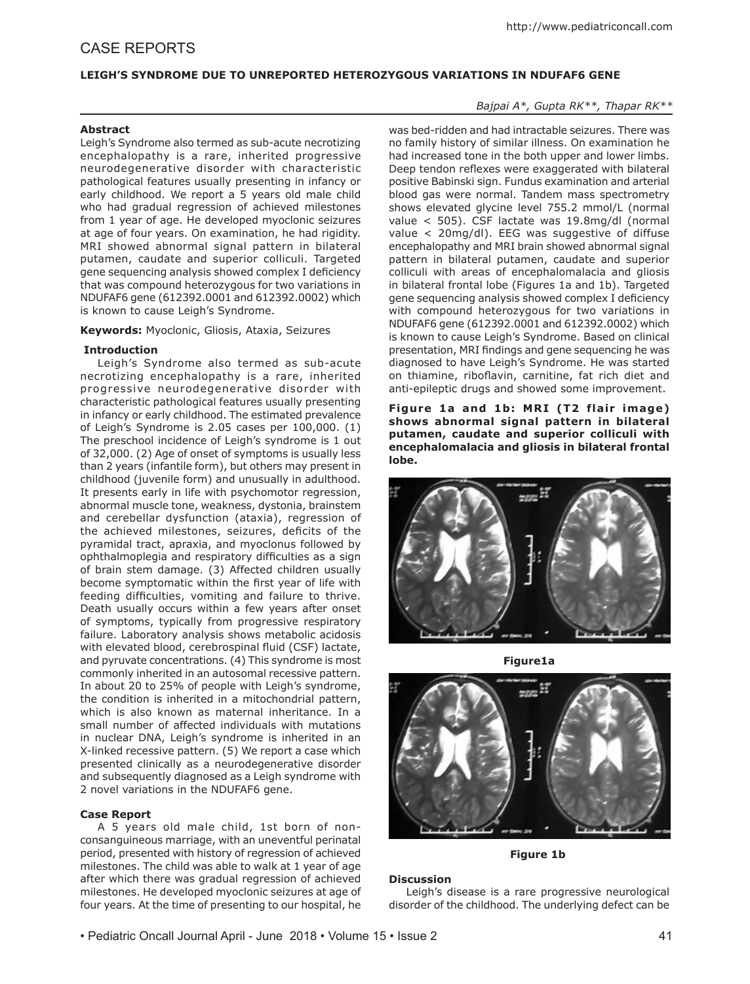# CASE REPORTS

## **LEIGH'S SYNDROME DUE TO UNREPORTED HETEROZYGOUS VARIATIONS IN NDUFAF6 GENE**

## **Abstract**

Leigh's Syndrome also termed as sub-acute necrotizing encephalopathy is a rare, inherited progressive neurodegenerative disorder with characteristic pathological features usually presenting in infancy or early childhood. We report a 5 years old male child who had gradual regression of achieved milestones from 1 year of age. He developed myoclonic seizures at age of four years. On examination, he had rigidity. MRI showed abnormal signal pattern in bilateral putamen, caudate and superior colliculi. Targeted gene sequencing analysis showed complex I deficiency that was compound heterozygous for two variations in NDUFAF6 gene (612392.0001 and 612392.0002) which is known to cause Leigh's Syndrome.

**Keywords:** Myoclonic, Gliosis, Ataxia, Seizures

### **Introduction**

Leigh's Syndrome also termed as sub-acute necrotizing encephalopathy is a rare, inherited progressive neurodegenerative disorder with characteristic pathological features usually presenting in infancy or early childhood. The estimated prevalence of Leigh's Syndrome is 2.05 cases per 100,000. (1) The preschool incidence of Leigh's syndrome is 1 out of 32,000. (2) Age of onset of symptoms is usually less than 2 years (infantile form), but others may present in childhood (juvenile form) and unusually in adulthood. It presents early in life with psychomotor regression, abnormal muscle tone, weakness, dystonia, brainstem and cerebellar dysfunction (ataxia), regression of the achieved milestones, seizures, deficits of the pyramidal tract, apraxia, and myoclonus followed by ophthalmoplegia and respiratory difficulties as a sign of brain stem damage. (3) Affected children usually become symptomatic within the first year of life with feeding difficulties, vomiting and failure to thrive. Death usually occurs within a few years after onset of symptoms, typically from progressive respiratory failure. Laboratory analysis shows metabolic acidosis with elevated blood, cerebrospinal fluid (CSF) lactate, and pyruvate concentrations. (4) This syndrome is most commonly inherited in an autosomal recessive pattern. In about 20 to 25% of people with Leigh's syndrome, the condition is inherited in a mitochondrial pattern, which is also known as maternal inheritance. In a small number of affected individuals with mutations in nuclear DNA, Leigh's syndrome is inherited in an X-linked recessive pattern. (5) We report a case which presented clinically as a neurodegenerative disorder and subsequently diagnosed as a Leigh syndrome with 2 novel variations in the NDUFAF6 gene.

#### **Case Report**

A 5 years old male child, 1st born of nonconsanguineous marriage, with an uneventful perinatal period, presented with history of regression of achieved milestones. The child was able to walk at 1 year of age after which there was gradual regression of achieved milestones. He developed myoclonic seizures at age of four years. At the time of presenting to our hospital, he

## *Bajpai A\*, Gupta RK\*\*, Thapar RK\*\**

was bed-ridden and had intractable seizures. There was no family history of similar illness. On examination he had increased tone in the both upper and lower limbs. Deep tendon reflexes were exaggerated with bilateral positive Babinski sign. Fundus examination and arterial blood gas were normal. Tandem mass spectrometry shows elevated glycine level 755.2 mmol/L (normal value < 505). CSF lactate was 19.8mg/dl (normal value < 20mg/dl). EEG was suggestive of diffuse encephalopathy and MRI brain showed abnormal signal pattern in bilateral putamen, caudate and superior colliculi with areas of encephalomalacia and gliosis in bilateral frontal lobe (Figures 1a and 1b). Targeted gene sequencing analysis showed complex I deficiency with compound heterozygous for two variations in NDUFAF6 gene (612392.0001 and 612392.0002) which is known to cause Leigh's Syndrome. Based on clinical presentation, MRI findings and gene sequencing he was diagnosed to have Leigh's Syndrome. He was started on thiamine, riboflavin, carnitine, fat rich diet and anti-epileptic drugs and showed some improvement.

Figure 1a and 1b: MRI (T2 flair image) **shows abnormal signal pattern in bilateral putamen, caudate and superior colliculi with encephalomalacia and gliosis in bilateral frontal lobe.** 



**Figure1a**



**Figure 1b**

## **Discussion**

Leigh's disease is a rare progressive neurological disorder of the childhood. The underlying defect can be